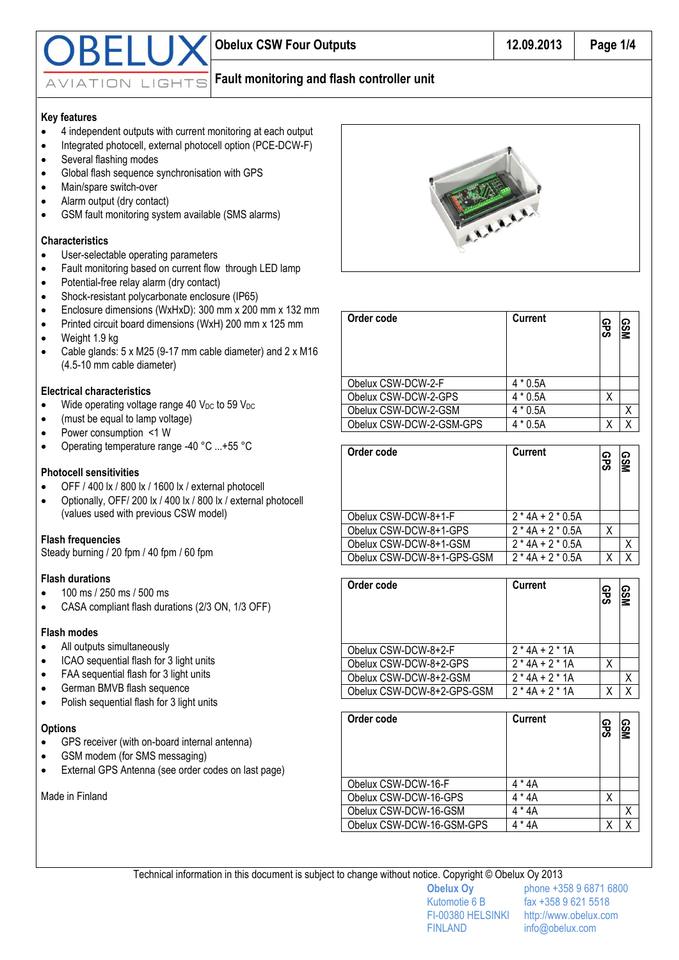

# **Fault monitoring and flash controller unit**

# **Key features**

- 4 independent outputs with current monitoring at each output
- Integrated photocell, external photocell option (PCE-DCW-F)
- Several flashing modes
- Global flash sequence synchronisation with GPS
- Main/spare switch-over
- Alarm output (dry contact)
- GSM fault monitoring system available (SMS alarms)

#### **Characteristics**

- User-selectable operating parameters
- Fault monitoring based on current flow through LED lamp
- Potential-free relay alarm (dry contact)
- Shock-resistant polycarbonate enclosure (IP65)
- Enclosure dimensions (WxHxD): 300 mm x 200 mm x 132 mm
- Printed circuit board dimensions (WxH) 200 mm x 125 mm
- Weight 1.9 kg
- Cable glands: 5 x M25 (9-17 mm cable diameter) and 2 x M16 (4.5-10 mm cable diameter)

# **Electrical characteristics**

- $\bullet$  Wide operating voltage range 40 V<sub>DC</sub> to 59 V<sub>DC</sub>
- (must be equal to lamp voltage)
- Power consumption <1 W
- Operating temperature range -40 °C ...+55 °C

# **Photocell sensitivities**

- OFF / 400 lx / 800 lx / 1600 lx / external photocell
- Optionally, OFF/ 200 lx / 400 lx / 800 lx / external photocell (values used with previous CSW model)

# **Flash frequencies**

Steady burning / 20 fpm / 40 fpm / 60 fpm

# **Flash durations**

- 100 ms / 250 ms / 500 ms
- CASA compliant flash durations (2/3 ON, 1/3 OFF)

# **Flash modes**

- All outputs simultaneously
- ICAO sequential flash for 3 light units
- FAA sequential flash for 3 light units
- German BMVB flash sequence
- Polish sequential flash for 3 light units

# **Options**

- GPS receiver (with on-board internal antenna)
- GSM modem (for SMS messaging)
- External GPS Antenna (see order codes on last page)

Made in Finland



| Order code               | <b>Current</b> | <b>GPS</b> | <b>GSM</b> |
|--------------------------|----------------|------------|------------|
| Obelux CSW-DCW-2-F       | $4 * 0.5A$     |            |            |
| Obelux CSW-DCW-2-GPS     | $4 * 0.5A$     |            |            |
| Obelux CSW-DCW-2-GSM     | $4 * 0.5A$     |            |            |
| Obelux CSW-DCW-2-GSM-GPS | * 0.5A         |            |            |

| Order code                 | <b>Current</b>      | <b>GPS</b> | <b>QSM</b> |
|----------------------------|---------------------|------------|------------|
| Obelux CSW-DCW-8+1-F       | $2*4A + 2*0.5A$     |            |            |
| Obelux CSW-DCW-8+1-GPS     | $2*4A + 2*0.5A$     | χ          |            |
| Obelux CSW-DCW-8+1-GSM     | $2*4A+2*0.5A$       |            | Χ          |
| Obelux CSW-DCW-8+1-GPS-GSM | $2 * 4A + 2 * 0.5A$ |            |            |

| Order code                 | <b>Current</b> | <b>GPS</b> | <b>GSM</b> |
|----------------------------|----------------|------------|------------|
| Obelux CSW-DCW-8+2-F       | $2*4A + 2*1A$  |            |            |
| Obelux CSW-DCW-8+2-GPS     | $2*4A + 2*1A$  | Χ          |            |
| Obelux CSW-DCW-8+2-GSM     | $2*4A+2*1A$    |            | Χ          |
| Obelux CSW-DCW-8+2-GPS-GSM | $2*4A + 2*1A$  |            |            |

| Order code                | <b>Current</b> | ဥ္ပ | <b>QSM</b> |
|---------------------------|----------------|-----|------------|
| Obelux CSW-DCW-16-F       | 4 * 4A         |     |            |
| Obelux CSW-DCW-16-GPS     | 4 * 4A         | x   |            |
| Obelux CSW-DCW-16-GSM     | * 4A           |     |            |
| Obelux CSW-DCW-16-GSM-GPS | * 4A           |     |            |

Technical information in this document is subject to change without notice. Copyright © Obelux Oy 2013

FINLAND info@obelux.com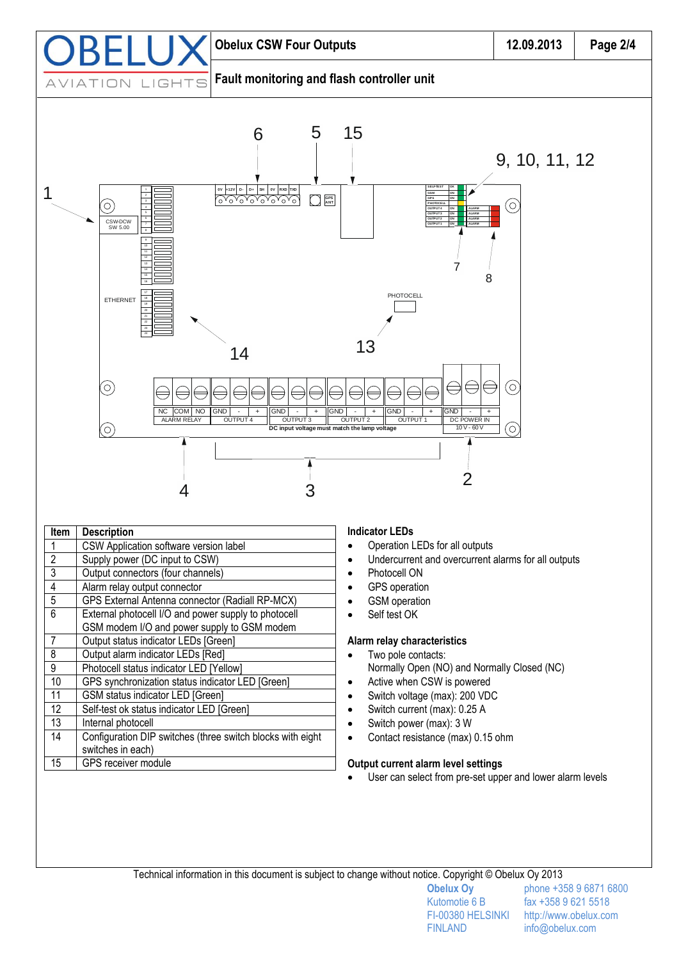

• Photocell ON GPS operation

4 Alarm relay output connector

7 **Output status indicator LEDs [Green]** 8 Output alarm indicator LEDs [Red] 9 Photocell status indicator LED [Yellow]

11 | GSM status indicator LED [Green] 12 | Self-test ok status indicator LED [Green]

13 Internal photocell

switches in each) 15 GPS receiver module

5 GPS External Antenna connector (Radiall RP-MCX) 6 External photocell I/O and power supply to photocell GSM modem I/O and power supply to GSM modem

10 GPS synchronization status indicator LED [Green]

14 | Configuration DIP switches (three switch blocks with eight

- GSM operation
- Self test OK
- 
- **Alarm relay characteristics**
- Two pole contacts: Normally Open (NO) and Normally Closed (NC)
- Active when CSW is powered
- Switch voltage (max): 200 VDC
- Switch current (max): 0.25 A
- Switch power (max): 3 W
- Contact resistance (max) 0.15 ohm

# **Output current alarm level settings**

User can select from pre-set upper and lower alarm levels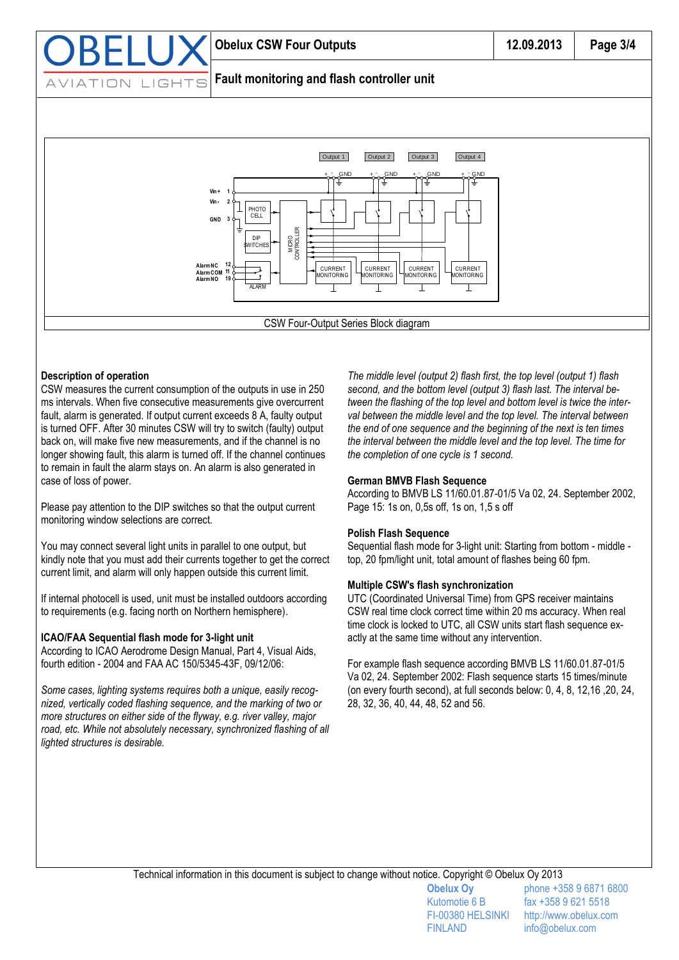

#### **Description of operation**

CSW measures the current consumption of the outputs in use in 250 ms intervals. When five consecutive measurements give overcurrent fault, alarm is generated. If output current exceeds 8 A, faulty output is turned OFF. After 30 minutes CSW will try to switch (faulty) output back on, will make five new measurements, and if the channel is no longer showing fault, this alarm is turned off. If the channel continues to remain in fault the alarm stays on. An alarm is also generated in case of loss of power.

Please pay attention to the DIP switches so that the output current monitoring window selections are correct.

You may connect several light units in parallel to one output, but kindly note that you must add their currents together to get the correct current limit, and alarm will only happen outside this current limit.

If internal photocell is used, unit must be installed outdoors according to requirements (e.g. facing north on Northern hemisphere).

#### **ICAO/FAA Sequential flash mode for 3-light unit**

According to ICAO Aerodrome Design Manual, Part 4, Visual Aids, fourth edition - 2004 and FAA AC 150/5345-43F, 09/12/06:

*Some cases, lighting systems requires both a unique, easily recognized, vertically coded flashing sequence, and the marking of two or more structures on either side of the flyway, e.g. river valley, major*  road, etc. While not absolutely necessary, synchronized flashing of all *lighted structures is desirable.*

*The middle level (output 2) flash first, the top level (output 1) flash second, and the bottom level (output 3) flash last. The interval between the flashing of the top level and bottom level is twice the interval between the middle level and the top level. The interval between the end of one sequence and the beginning of the next is ten times the interval between the middle level and the top level. The time for the completion of one cycle is 1 second.*

#### **German BMVB Flash Sequence**

According to BMVB LS 11/60.01.87-01/5 Va 02, 24. September 2002, Page 15: 1s on, 0,5s off, 1s on, 1,5 s off

#### **Polish Flash Sequence**

Sequential flash mode for 3-light unit: Starting from bottom - middle top, 20 fpm/light unit, total amount of flashes being 60 fpm.

#### **Multiple CSW's flash synchronization**

UTC (Coordinated Universal Time) from GPS receiver maintains CSW real time clock correct time within 20 ms accuracy. When real time clock is locked to UTC, all CSW units start flash sequence exactly at the same time without any intervention.

For example flash sequence according BMVB LS 11/60.01.87-01/5 Va 02, 24. September 2002: Flash sequence starts 15 times/minute (on every fourth second), at full seconds below: 0, 4, 8, 12,16 ,20, 24, 28, 32, 36, 40, 44, 48, 52 and 56.

FINLAND info@obelux.com